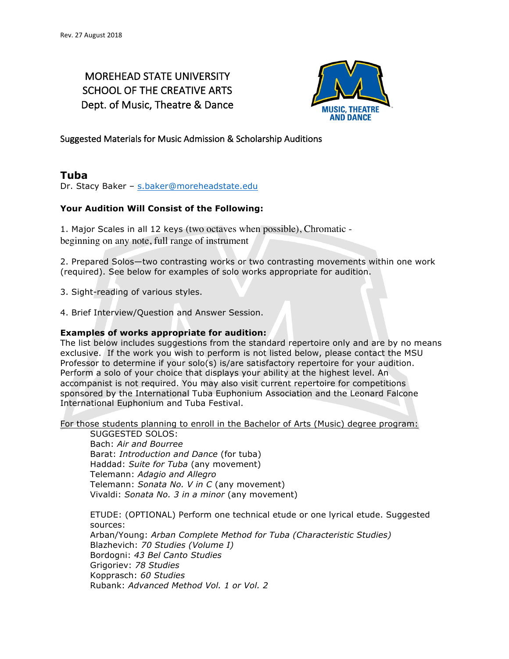# MOREHEAD STATE UNIVERSITY SCHOOL OF THE CREATIVE ARTS Dept. of Music, Theatre & Dance



Suggested Materials for Music Admission & Scholarship Auditions

## **Tuba**

Dr. Stacy Baker – s.baker@moreheadstate.edu

## **Your Audition Will Consist of the Following:**

1. Major Scales in all 12 keys (two octaves when possible), Chromatic beginning on any note, full range of instrument

2. Prepared Solos—two contrasting works or two contrasting movements within one work (required). See below for examples of solo works appropriate for audition.

3. Sight-reading of various styles.

4. Brief Interview/Question and Answer Session.

### **Examples of works appropriate for audition:**

The list below includes suggestions from the standard repertoire only and are by no means exclusive. If the work you wish to perform is not listed below, please contact the MSU Professor to determine if your solo(s) is/are satisfactory repertoire for your audition. Perform a solo of your choice that displays your ability at the highest level. An accompanist is not required. You may also visit current repertoire for competitions sponsored by the International Tuba Euphonium Association and the Leonard Falcone International Euphonium and Tuba Festival.

For those students planning to enroll in the Bachelor of Arts (Music) degree program:

SUGGESTED SOLOS: Bach: *Air and Bourree* Barat: *Introduction and Dance* (for tuba) Haddad: *Suite for Tuba* (any movement) Telemann: *Adagio and Allegro* Telemann: *Sonata No. V in C* (any movement) Vivaldi: *Sonata No. 3 in a minor* (any movement)

ETUDE: (OPTIONAL) Perform one technical etude or one lyrical etude. Suggested sources: Arban/Young: *Arban Complete Method for Tuba (Characteristic Studies)* Blazhevich: *70 Studies (Volume I)* Bordogni: *43 Bel Canto Studies* Grigoriev: *78 Studies* Kopprasch: *60 Studies* Rubank: *Advanced Method Vol. 1 or Vol. 2*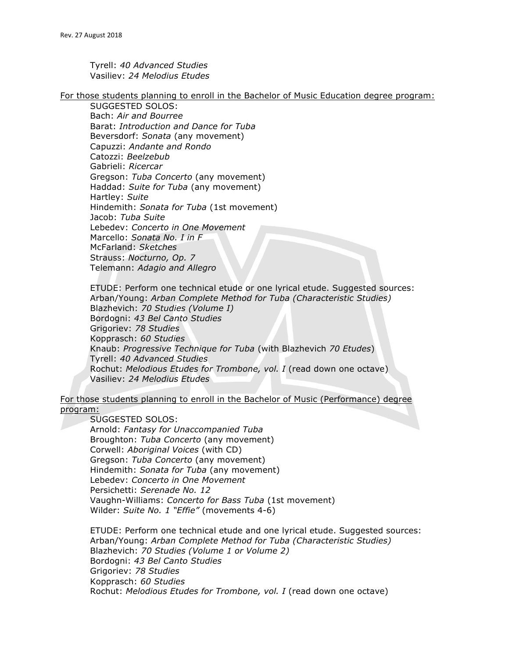Tyrell: *40 Advanced Studies* Vasiliev: *24 Melodius Etudes*

For those students planning to enroll in the Bachelor of Music Education degree program:

SUGGESTED SOLOS: Bach: *Air and Bourree* Barat: *Introduction and Dance for Tuba* Beversdorf: *Sonata* (any movement) Capuzzi: *Andante and Rondo* Catozzi: *Beelzebub* Gabrieli: *Ricercar* Gregson: *Tuba Concerto* (any movement) Haddad: *Suite for Tuba* (any movement) Hartley: *Suite* Hindemith: *Sonata for Tuba* (1st movement) Jacob: *Tuba Suite* Lebedev: *Concerto in One Movement* Marcello: *Sonata No. I in F* McFarland: *Sketches* Strauss: *Nocturno, Op. 7* Telemann: *Adagio and Allegro*

ETUDE: Perform one technical etude or one lyrical etude. Suggested sources: Arban/Young: *Arban Complete Method for Tuba (Characteristic Studies)* Blazhevich: *70 Studies (Volume I)* Bordogni: *43 Bel Canto Studies* Grigoriev: *78 Studies* Kopprasch: *60 Studies* Knaub: *Progressive Technique for Tuba* (with Blazhevich *70 Etudes*) Tyrell: *40 Advanced Studies* Rochut: *Melodious Etudes for Trombone, vol. I* (read down one octave) Vasiliev: *24 Melodius Etudes*

For those students planning to enroll in the Bachelor of Music (Performance) degree program:

#### SUGGESTED SOLOS:

Arnold: *Fantasy for Unaccompanied Tuba* Broughton: *Tuba Concerto* (any movement) Corwell: *Aboriginal Voices* (with CD) Gregson: *Tuba Concerto* (any movement) Hindemith: *Sonata for Tuba* (any movement) Lebedev: *Concerto in One Movement* Persichetti: *Serenade No. 12* Vaughn-Williams: *Concerto for Bass Tuba* (1st movement) Wilder: *Suite No. 1 "Effie"* (movements 4-6)

ETUDE: Perform one technical etude and one lyrical etude. Suggested sources: Arban/Young: *Arban Complete Method for Tuba (Characteristic Studies)* Blazhevich: *70 Studies (Volume 1 or Volume 2)* Bordogni: *43 Bel Canto Studies* Grigoriev: *78 Studies* Kopprasch: *60 Studies* Rochut: *Melodious Etudes for Trombone, vol. I* (read down one octave)